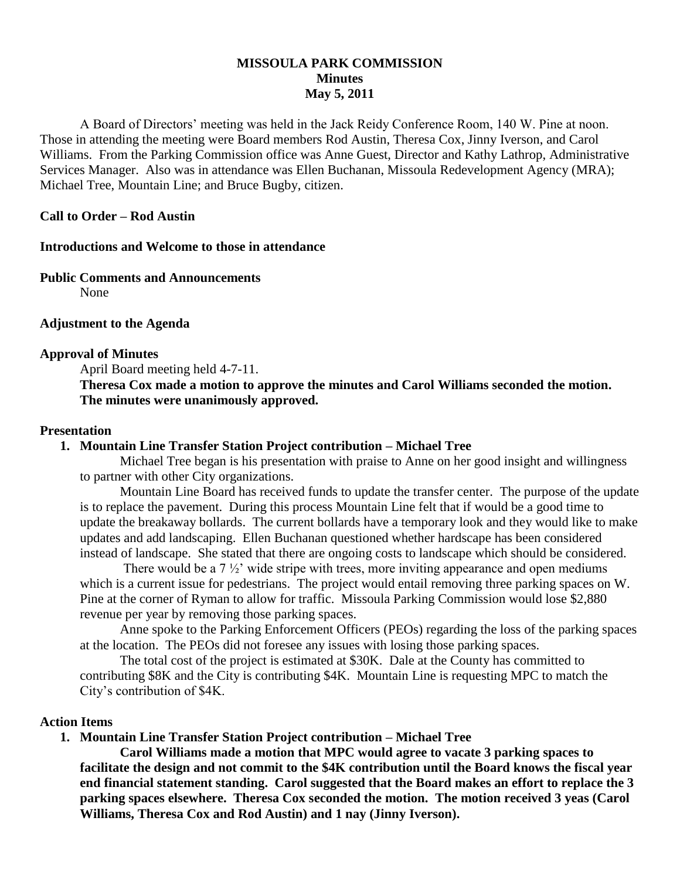## **MISSOULA PARK COMMISSION Minutes May 5, 2011**

A Board of Directors' meeting was held in the Jack Reidy Conference Room, 140 W. Pine at noon. Those in attending the meeting were Board members Rod Austin, Theresa Cox, Jinny Iverson, and Carol Williams. From the Parking Commission office was Anne Guest, Director and Kathy Lathrop, Administrative Services Manager. Also was in attendance was Ellen Buchanan, Missoula Redevelopment Agency (MRA); Michael Tree, Mountain Line; and Bruce Bugby, citizen.

#### **Call to Order – Rod Austin**

#### **Introductions and Welcome to those in attendance**

#### **Public Comments and Announcements**

None

#### **Adjustment to the Agenda**

#### **Approval of Minutes**

April Board meeting held 4-7-11.

**Theresa Cox made a motion to approve the minutes and Carol Williams seconded the motion. The minutes were unanimously approved.**

#### **Presentation**

#### **1. Mountain Line Transfer Station Project contribution – Michael Tree**

Michael Tree began is his presentation with praise to Anne on her good insight and willingness to partner with other City organizations.

Mountain Line Board has received funds to update the transfer center. The purpose of the update is to replace the pavement. During this process Mountain Line felt that if would be a good time to update the breakaway bollards. The current bollards have a temporary look and they would like to make updates and add landscaping. Ellen Buchanan questioned whether hardscape has been considered instead of landscape. She stated that there are ongoing costs to landscape which should be considered.

There would be a  $7\frac{1}{2}$  wide stripe with trees, more inviting appearance and open mediums which is a current issue for pedestrians. The project would entail removing three parking spaces on W. Pine at the corner of Ryman to allow for traffic. Missoula Parking Commission would lose \$2,880 revenue per year by removing those parking spaces.

Anne spoke to the Parking Enforcement Officers (PEOs) regarding the loss of the parking spaces at the location. The PEOs did not foresee any issues with losing those parking spaces.

The total cost of the project is estimated at \$30K. Dale at the County has committed to contributing \$8K and the City is contributing \$4K. Mountain Line is requesting MPC to match the City's contribution of \$4K.

#### **Action Items**

**1. Mountain Line Transfer Station Project contribution – Michael Tree**

**Carol Williams made a motion that MPC would agree to vacate 3 parking spaces to facilitate the design and not commit to the \$4K contribution until the Board knows the fiscal year end financial statement standing. Carol suggested that the Board makes an effort to replace the 3 parking spaces elsewhere. Theresa Cox seconded the motion. The motion received 3 yeas (Carol Williams, Theresa Cox and Rod Austin) and 1 nay (Jinny Iverson).**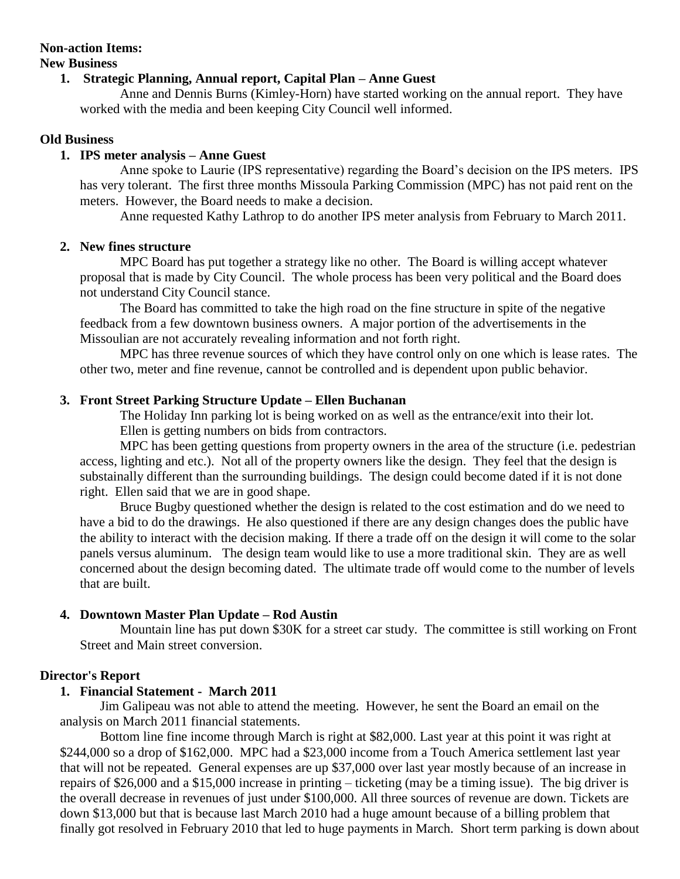# **Non-action Items:**

#### **New Business**

## **1. Strategic Planning, Annual report, Capital Plan – Anne Guest**

Anne and Dennis Burns (Kimley-Horn) have started working on the annual report. They have worked with the media and been keeping City Council well informed.

## **Old Business**

## **1. IPS meter analysis – Anne Guest**

Anne spoke to Laurie (IPS representative) regarding the Board's decision on the IPS meters. IPS has very tolerant. The first three months Missoula Parking Commission (MPC) has not paid rent on the meters. However, the Board needs to make a decision.

Anne requested Kathy Lathrop to do another IPS meter analysis from February to March 2011.

## **2. New fines structure**

MPC Board has put together a strategy like no other. The Board is willing accept whatever proposal that is made by City Council. The whole process has been very political and the Board does not understand City Council stance.

The Board has committed to take the high road on the fine structure in spite of the negative feedback from a few downtown business owners. A major portion of the advertisements in the Missoulian are not accurately revealing information and not forth right.

MPC has three revenue sources of which they have control only on one which is lease rates. The other two, meter and fine revenue, cannot be controlled and is dependent upon public behavior.

## **3. Front Street Parking Structure Update – Ellen Buchanan**

The Holiday Inn parking lot is being worked on as well as the entrance/exit into their lot. Ellen is getting numbers on bids from contractors.

MPC has been getting questions from property owners in the area of the structure (i.e. pedestrian access, lighting and etc.). Not all of the property owners like the design. They feel that the design is substainally different than the surrounding buildings. The design could become dated if it is not done right. Ellen said that we are in good shape.

Bruce Bugby questioned whether the design is related to the cost estimation and do we need to have a bid to do the drawings. He also questioned if there are any design changes does the public have the ability to interact with the decision making. If there a trade off on the design it will come to the solar panels versus aluminum. The design team would like to use a more traditional skin. They are as well concerned about the design becoming dated. The ultimate trade off would come to the number of levels that are built.

## **4. Downtown Master Plan Update – Rod Austin**

Mountain line has put down \$30K for a street car study. The committee is still working on Front Street and Main street conversion.

## **Director's Report**

## **1. Financial Statement - March 2011**

Jim Galipeau was not able to attend the meeting. However, he sent the Board an email on the analysis on March 2011 financial statements.

Bottom line fine income through March is right at \$82,000. Last year at this point it was right at \$244,000 so a drop of \$162,000. MPC had a \$23,000 income from a Touch America settlement last year that will not be repeated. General expenses are up \$37,000 over last year mostly because of an increase in repairs of \$26,000 and a \$15,000 increase in printing – ticketing (may be a timing issue). The big driver is the overall decrease in revenues of just under \$100,000. All three sources of revenue are down. Tickets are down \$13,000 but that is because last March 2010 had a huge amount because of a billing problem that finally got resolved in February 2010 that led to huge payments in March. Short term parking is down about